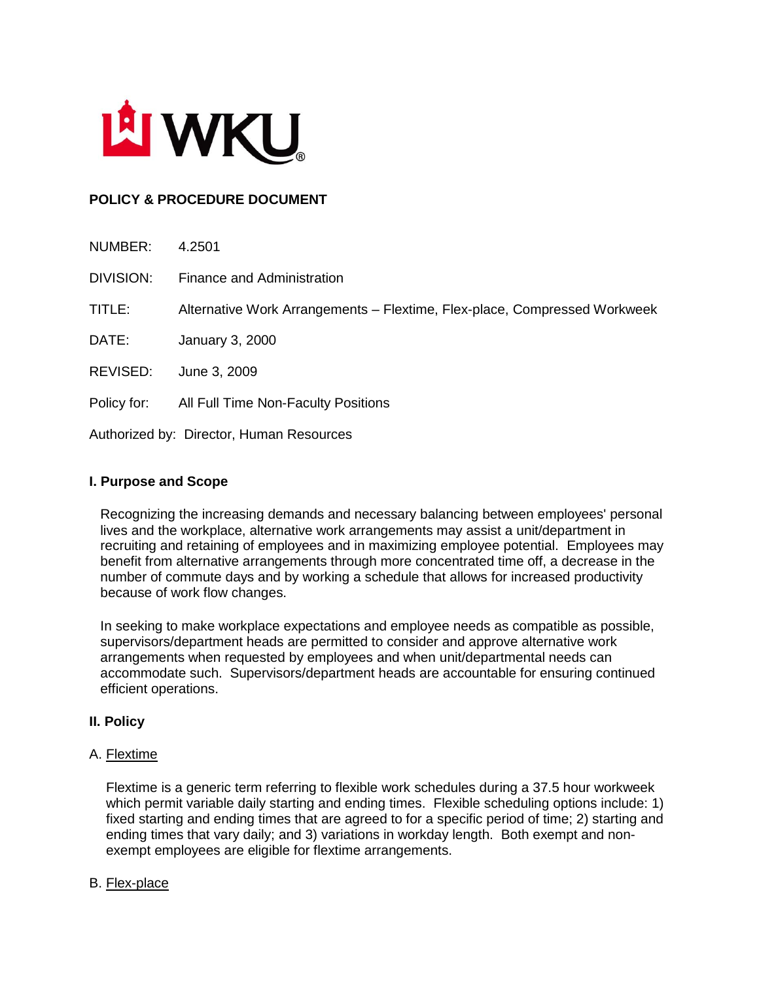

# **POLICY & PROCEDURE DOCUMENT**

| NUMBER:                                  | 4.2501                                                                    |
|------------------------------------------|---------------------------------------------------------------------------|
| DIVISION:                                | Finance and Administration                                                |
| TITLE:                                   | Alternative Work Arrangements - Flextime, Flex-place, Compressed Workweek |
| DATE:                                    | January 3, 2000                                                           |
| REVISED:                                 | June 3, 2009                                                              |
| Policy for:                              | All Full Time Non-Faculty Positions                                       |
| Authorized by: Director, Human Resources |                                                                           |

## **I. Purpose and Scope**

Recognizing the increasing demands and necessary balancing between employees' personal lives and the workplace, alternative work arrangements may assist a unit/department in recruiting and retaining of employees and in maximizing employee potential. Employees may benefit from alternative arrangements through more concentrated time off, a decrease in the number of commute days and by working a schedule that allows for increased productivity because of work flow changes.

In seeking to make workplace expectations and employee needs as compatible as possible, supervisors/department heads are permitted to consider and approve alternative work arrangements when requested by employees and when unit/departmental needs can accommodate such. Supervisors/department heads are accountable for ensuring continued efficient operations.

## **II. Policy**

#### A. Flextime

Flextime is a generic term referring to flexible work schedules during a 37.5 hour workweek which permit variable daily starting and ending times. Flexible scheduling options include: 1) fixed starting and ending times that are agreed to for a specific period of time; 2) starting and ending times that vary daily; and 3) variations in workday length. Both exempt and nonexempt employees are eligible for flextime arrangements.

#### B. Flex-place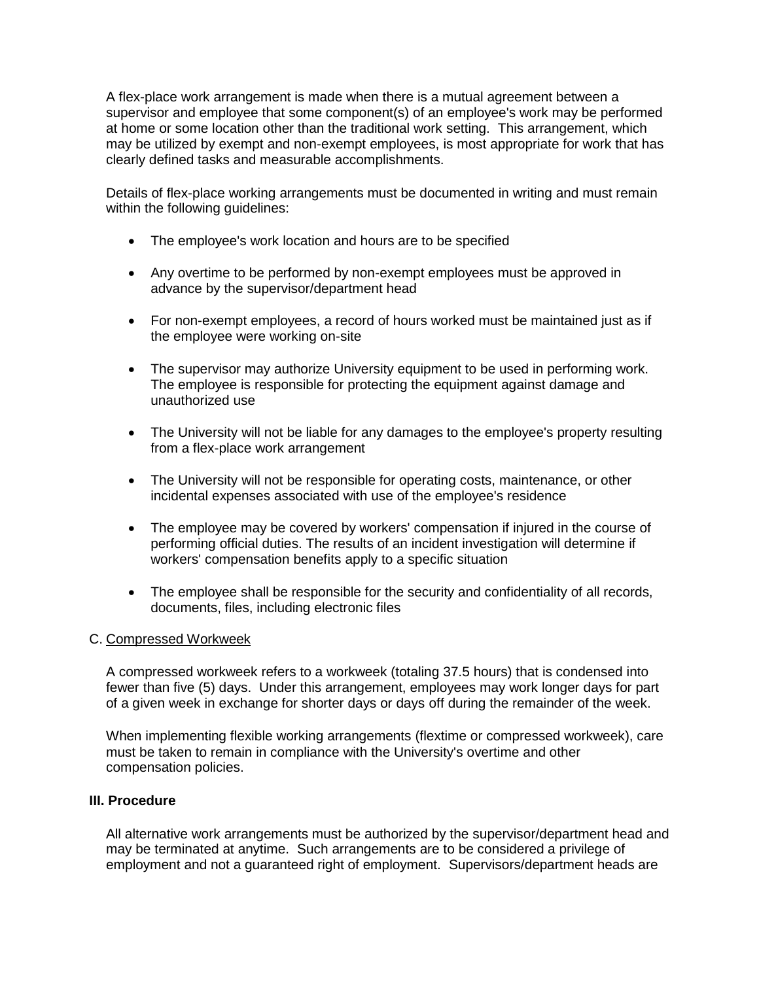A flex-place work arrangement is made when there is a mutual agreement between a supervisor and employee that some component(s) of an employee's work may be performed at home or some location other than the traditional work setting. This arrangement, which may be utilized by exempt and non-exempt employees, is most appropriate for work that has clearly defined tasks and measurable accomplishments.

Details of flex-place working arrangements must be documented in writing and must remain within the following guidelines:

- The employee's work location and hours are to be specified
- Any overtime to be performed by non-exempt employees must be approved in advance by the supervisor/department head
- For non-exempt employees, a record of hours worked must be maintained just as if the employee were working on-site
- The supervisor may authorize University equipment to be used in performing work. The employee is responsible for protecting the equipment against damage and unauthorized use
- The University will not be liable for any damages to the employee's property resulting from a flex-place work arrangement
- The University will not be responsible for operating costs, maintenance, or other incidental expenses associated with use of the employee's residence
- The employee may be covered by workers' compensation if injured in the course of performing official duties. The results of an incident investigation will determine if workers' compensation benefits apply to a specific situation
- The employee shall be responsible for the security and confidentiality of all records, documents, files, including electronic files

## C. Compressed Workweek

A compressed workweek refers to a workweek (totaling 37.5 hours) that is condensed into fewer than five (5) days. Under this arrangement, employees may work longer days for part of a given week in exchange for shorter days or days off during the remainder of the week.

When implementing flexible working arrangements (flextime or compressed workweek), care must be taken to remain in compliance with the University's overtime and other compensation policies.

#### **III. Procedure**

All alternative work arrangements must be authorized by the supervisor/department head and may be terminated at anytime. Such arrangements are to be considered a privilege of employment and not a guaranteed right of employment. Supervisors/department heads are